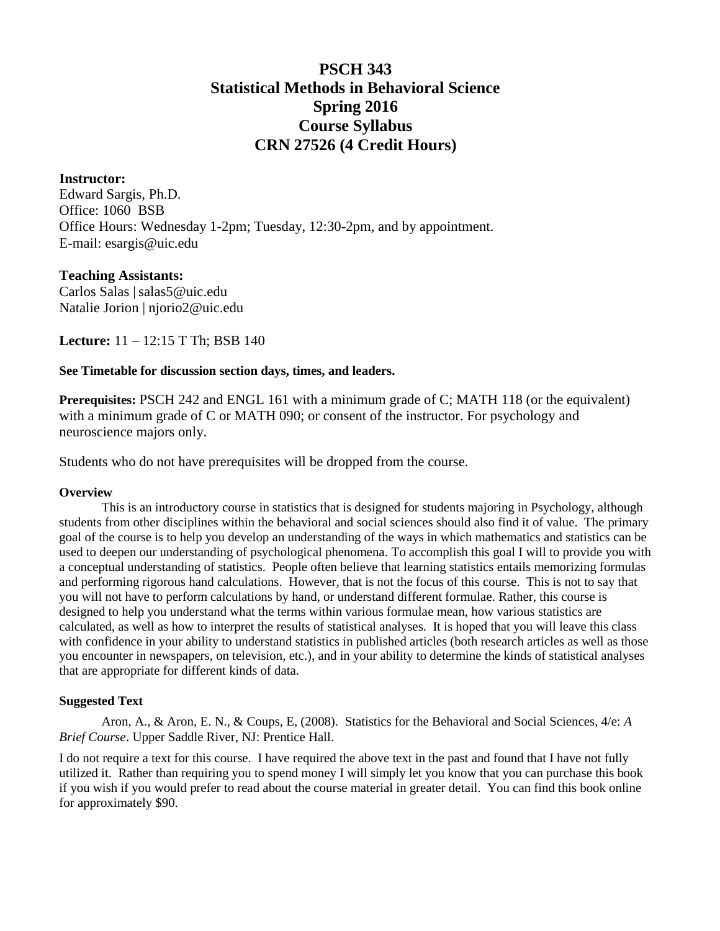# **PSCH 343 Statistical Methods in Behavioral Science Spring 2016 Course Syllabus CRN 27526 (4 Credit Hours)**

# **Instructor:**

Edward Sargis, Ph.D. Office: 1060 BSB Office Hours: Wednesday 1-2pm; Tuesday, 12:30-2pm, and by appointment. E-mail: [esargis@uic.edu](mailto:esargis@uic.edu)

# **Teaching Assistants:**

Carlos Salas | salas5@uic.edu Natalie Jorion | njorio2@uic.edu

**Lecture:** 11 – 12:15 T Th; BSB 140

# **See Timetable for discussion section days, times, and leaders.**

**Prerequisites: PSCH 242 and ENGL 161 with a minimum grade of C; MATH 118 (or the equivalent)** with a minimum grade of C or MATH 090; or consent of the instructor. For psychology and neuroscience majors only.

Students who do not have prerequisites will be dropped from the course.

#### **Overview**

This is an introductory course in statistics that is designed for students majoring in Psychology, although students from other disciplines within the behavioral and social sciences should also find it of value. The primary goal of the course is to help you develop an understanding of the ways in which mathematics and statistics can be used to deepen our understanding of psychological phenomena. To accomplish this goal I will to provide you with a conceptual understanding of statistics. People often believe that learning statistics entails memorizing formulas and performing rigorous hand calculations. However, that is not the focus of this course. This is not to say that you will not have to perform calculations by hand, or understand different formulae. Rather, this course is designed to help you understand what the terms within various formulae mean, how various statistics are calculated, as well as how to interpret the results of statistical analyses. It is hoped that you will leave this class with confidence in your ability to understand statistics in published articles (both research articles as well as those you encounter in newspapers, on television, etc.), and in your ability to determine the kinds of statistical analyses that are appropriate for different kinds of data.

# **Suggested Text**

Aron, A., & Aron, E. N., & Coups, E, (2008). Statistics for the Behavioral and Social Sciences, 4/e: *A Brief Course*. Upper Saddle River, NJ: Prentice Hall.

I do not require a text for this course. I have required the above text in the past and found that I have not fully utilized it. Rather than requiring you to spend money I will simply let you know that you can purchase this book if you wish if you would prefer to read about the course material in greater detail. You can find this book online for approximately \$90.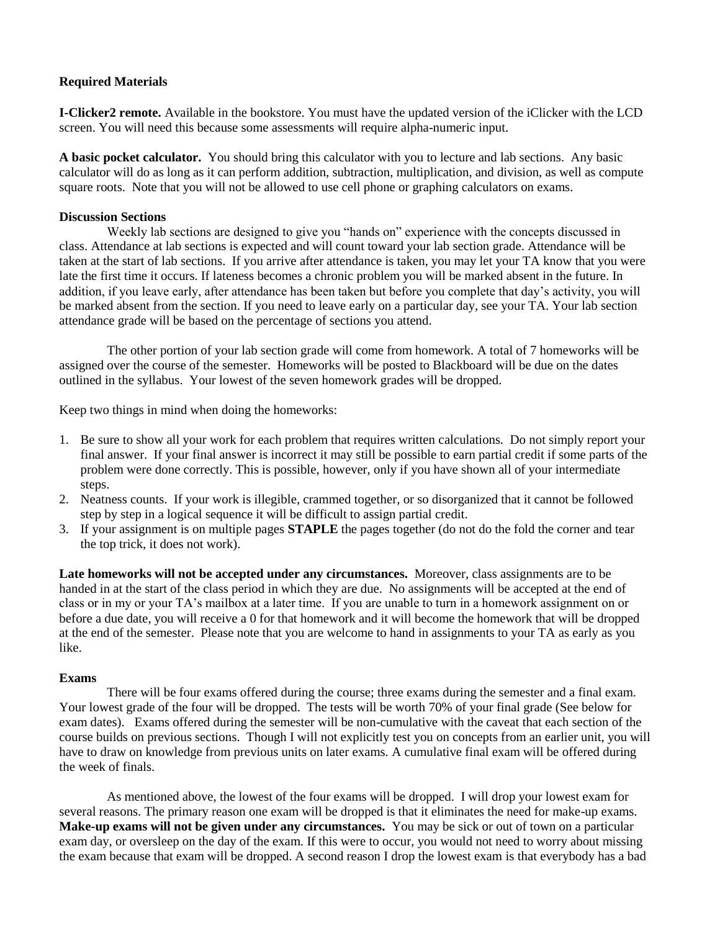# **Required Materials**

**I-Clicker2 remote.** Available in the bookstore. You must have the updated version of the iClicker with the LCD screen. You will need this because some assessments will require alpha-numeric input.

**A basic pocket calculator.** You should bring this calculator with you to lecture and lab sections. Any basic calculator will do as long as it can perform addition, subtraction, multiplication, and division, as well as compute square roots. Note that you will not be allowed to use cell phone or graphing calculators on exams.

## **Discussion Sections**

Weekly lab sections are designed to give you "hands on" experience with the concepts discussed in class. Attendance at lab sections is expected and will count toward your lab section grade. Attendance will be taken at the start of lab sections. If you arrive after attendance is taken, you may let your TA know that you were late the first time it occurs. If lateness becomes a chronic problem you will be marked absent in the future. In addition, if you leave early, after attendance has been taken but before you complete that day's activity, you will be marked absent from the section. If you need to leave early on a particular day, see your TA. Your lab section attendance grade will be based on the percentage of sections you attend.

The other portion of your lab section grade will come from homework. A total of 7 homeworks will be assigned over the course of the semester. Homeworks will be posted to Blackboard will be due on the dates outlined in the syllabus. Your lowest of the seven homework grades will be dropped.

Keep two things in mind when doing the homeworks:

- 1. Be sure to show all your work for each problem that requires written calculations. Do not simply report your final answer. If your final answer is incorrect it may still be possible to earn partial credit if some parts of the problem were done correctly. This is possible, however, only if you have shown all of your intermediate steps.
- 2. Neatness counts. If your work is illegible, crammed together, or so disorganized that it cannot be followed step by step in a logical sequence it will be difficult to assign partial credit.
- 3. If your assignment is on multiple pages **STAPLE** the pages together (do not do the fold the corner and tear the top trick, it does not work).

**Late homeworks will not be accepted under any circumstances.** Moreover, class assignments are to be handed in at the start of the class period in which they are due. No assignments will be accepted at the end of class or in my or your TA's mailbox at a later time. If you are unable to turn in a homework assignment on or before a due date, you will receive a 0 for that homework and it will become the homework that will be dropped at the end of the semester. Please note that you are welcome to hand in assignments to your TA as early as you like.

#### **Exams**

There will be four exams offered during the course; three exams during the semester and a final exam. Your lowest grade of the four will be dropped. The tests will be worth 70% of your final grade (See below for exam dates). Exams offered during the semester will be non-cumulative with the caveat that each section of the course builds on previous sections. Though I will not explicitly test you on concepts from an earlier unit, you will have to draw on knowledge from previous units on later exams. A cumulative final exam will be offered during the week of finals.

As mentioned above, the lowest of the four exams will be dropped. I will drop your lowest exam for several reasons. The primary reason one exam will be dropped is that it eliminates the need for make-up exams. **Make-up exams will not be given under any circumstances.** You may be sick or out of town on a particular exam day, or oversleep on the day of the exam. If this were to occur, you would not need to worry about missing the exam because that exam will be dropped. A second reason I drop the lowest exam is that everybody has a bad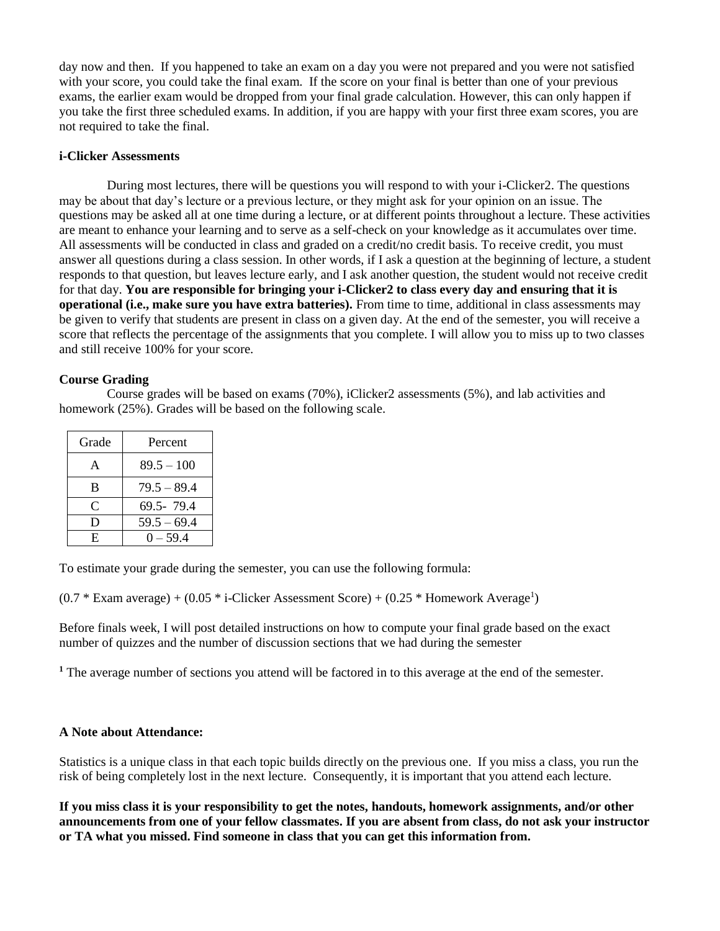day now and then. If you happened to take an exam on a day you were not prepared and you were not satisfied with your score, you could take the final exam. If the score on your final is better than one of your previous exams, the earlier exam would be dropped from your final grade calculation. However, this can only happen if you take the first three scheduled exams. In addition, if you are happy with your first three exam scores, you are not required to take the final.

## **i-Clicker Assessments**

During most lectures, there will be questions you will respond to with your i-Clicker2. The questions may be about that day's lecture or a previous lecture, or they might ask for your opinion on an issue. The questions may be asked all at one time during a lecture, or at different points throughout a lecture. These activities are meant to enhance your learning and to serve as a self-check on your knowledge as it accumulates over time. All assessments will be conducted in class and graded on a credit/no credit basis. To receive credit, you must answer all questions during a class session. In other words, if I ask a question at the beginning of lecture, a student responds to that question, but leaves lecture early, and I ask another question, the student would not receive credit for that day. **You are responsible for bringing your i-Clicker2 to class every day and ensuring that it is operational (i.e., make sure you have extra batteries).** From time to time, additional in class assessments may be given to verify that students are present in class on a given day. At the end of the semester, you will receive a score that reflects the percentage of the assignments that you complete. I will allow you to miss up to two classes and still receive 100% for your score.

# **Course Grading**

Course grades will be based on exams (70%), iClicker2 assessments (5%), and lab activities and homework (25%). Grades will be based on the following scale.

| Grade | Percent       |
|-------|---------------|
| A     | $89.5 - 100$  |
| B     | $79.5 - 89.4$ |
| C     | 69.5-79.4     |
| D     | $59.5 - 69.4$ |
| E     | $0 - 59.4$    |

To estimate your grade during the semester, you can use the following formula:

 $(0.7 * Exam average) + (0.05 * i-Clicker Assessment Score) + (0.25 * Homework Average<sup>1</sup>)$ 

Before finals week, I will post detailed instructions on how to compute your final grade based on the exact number of quizzes and the number of discussion sections that we had during the semester

**<sup>1</sup>** The average number of sections you attend will be factored in to this average at the end of the semester.

# **A Note about Attendance:**

Statistics is a unique class in that each topic builds directly on the previous one. If you miss a class, you run the risk of being completely lost in the next lecture. Consequently, it is important that you attend each lecture.

**If you miss class it is your responsibility to get the notes, handouts, homework assignments, and/or other announcements from one of your fellow classmates. If you are absent from class, do not ask your instructor or TA what you missed. Find someone in class that you can get this information from.**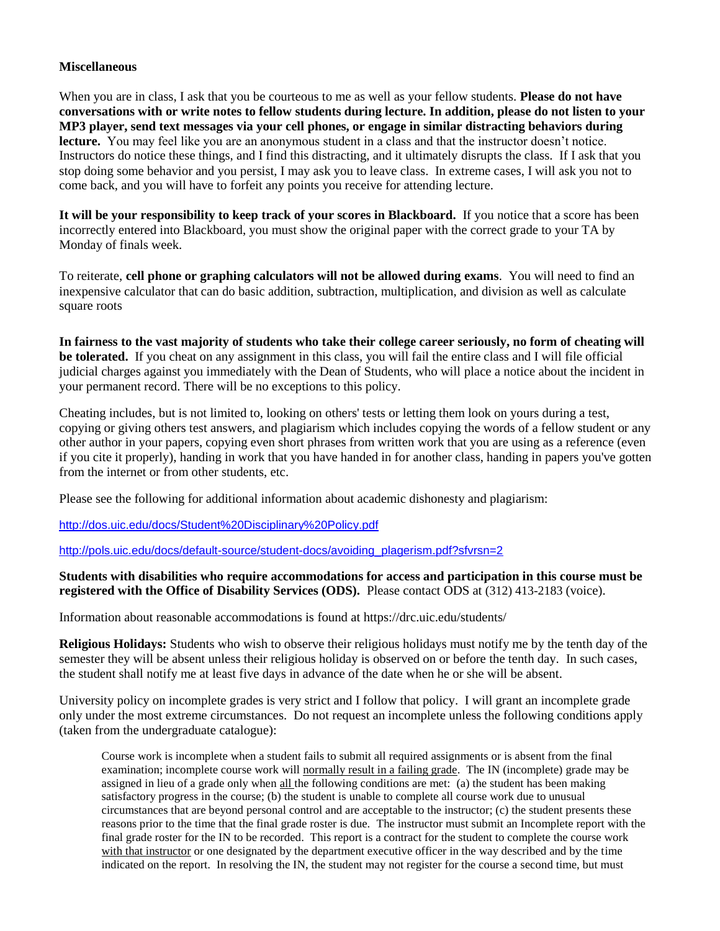## **Miscellaneous**

When you are in class, I ask that you be courteous to me as well as your fellow students. **Please do not have conversations with or write notes to fellow students during lecture. In addition, please do not listen to your MP3 player, send text messages via your cell phones, or engage in similar distracting behaviors during lecture.** You may feel like you are an anonymous student in a class and that the instructor doesn't notice. Instructors do notice these things, and I find this distracting, and it ultimately disrupts the class. If I ask that you stop doing some behavior and you persist, I may ask you to leave class. In extreme cases, I will ask you not to come back, and you will have to forfeit any points you receive for attending lecture.

**It will be your responsibility to keep track of your scores in Blackboard.** If you notice that a score has been incorrectly entered into Blackboard, you must show the original paper with the correct grade to your TA by Monday of finals week.

To reiterate, **cell phone or graphing calculators will not be allowed during exams**. You will need to find an inexpensive calculator that can do basic addition, subtraction, multiplication, and division as well as calculate square roots

**In fairness to the vast majority of students who take their college career seriously, no form of cheating will be tolerated.** If you cheat on any assignment in this class, you will fail the entire class and I will file official judicial charges against you immediately with the Dean of Students, who will place a notice about the incident in your permanent record. There will be no exceptions to this policy.

Cheating includes, but is not limited to, looking on others' tests or letting them look on yours during a test, copying or giving others test answers, and plagiarism which includes copying the words of a fellow student or any other author in your papers, copying even short phrases from written work that you are using as a reference (even if you cite it properly), handing in work that you have handed in for another class, handing in papers you've gotten from the internet or from other students, etc.

Please see the following for additional information about academic dishonesty and plagiarism:

<http://dos.uic.edu/docs/Student%20Disciplinary%20Policy.pdf>

[http://pols.uic.edu/docs/default-source/student-docs/avoiding\\_plagerism.pdf?sfvrsn=2](http://pols.uic.edu/docs/default-source/student-docs/avoiding_plagerism.pdf?sfvrsn=2)

## **Students with disabilities who require accommodations for access and participation in this course must be registered with the Office of Disability Services (ODS).** Please contact ODS at (312) 413-2183 (voice).

Information about reasonable accommodations is found at https://drc.uic.edu/students/

**Religious Holidays:** Students who wish to observe their religious holidays must notify me by the tenth day of the semester they will be absent unless their religious holiday is observed on or before the tenth day. In such cases, the student shall notify me at least five days in advance of the date when he or she will be absent.

University policy on incomplete grades is very strict and I follow that policy. I will grant an incomplete grade only under the most extreme circumstances. Do not request an incomplete unless the following conditions apply (taken from the undergraduate catalogue):

Course work is incomplete when a student fails to submit all required assignments or is absent from the final examination; incomplete course work will normally result in a failing grade. The IN (incomplete) grade may be assigned in lieu of a grade only when all the following conditions are met: (a) the student has been making satisfactory progress in the course; (b) the student is unable to complete all course work due to unusual circumstances that are beyond personal control and are acceptable to the instructor; (c) the student presents these reasons prior to the time that the final grade roster is due. The instructor must submit an Incomplete report with the final grade roster for the IN to be recorded. This report is a contract for the student to complete the course work with that instructor or one designated by the department executive officer in the way described and by the time indicated on the report. In resolving the IN, the student may not register for the course a second time, but must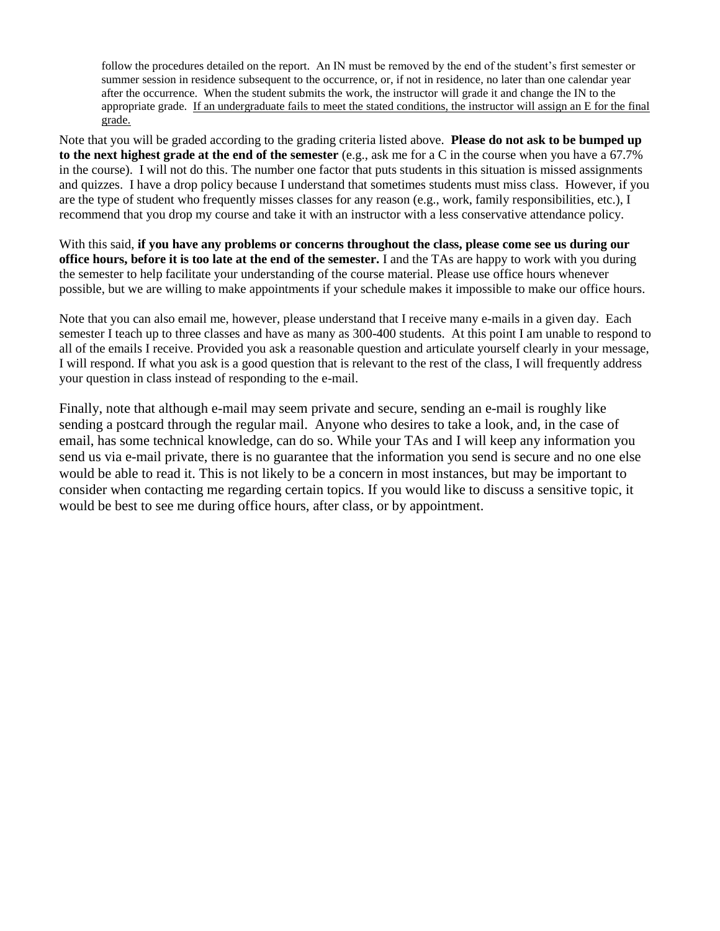follow the procedures detailed on the report. An IN must be removed by the end of the student's first semester or summer session in residence subsequent to the occurrence, or, if not in residence, no later than one calendar year after the occurrence. When the student submits the work, the instructor will grade it and change the IN to the appropriate grade. If an undergraduate fails to meet the stated conditions, the instructor will assign an E for the final grade.

Note that you will be graded according to the grading criteria listed above. **Please do not ask to be bumped up to the next highest grade at the end of the semester** (e.g., ask me for a C in the course when you have a 67.7% in the course). I will not do this. The number one factor that puts students in this situation is missed assignments and quizzes. I have a drop policy because I understand that sometimes students must miss class. However, if you are the type of student who frequently misses classes for any reason (e.g., work, family responsibilities, etc.), I recommend that you drop my course and take it with an instructor with a less conservative attendance policy.

With this said, **if you have any problems or concerns throughout the class, please come see us during our office hours, before it is too late at the end of the semester.** I and the TAs are happy to work with you during the semester to help facilitate your understanding of the course material. Please use office hours whenever possible, but we are willing to make appointments if your schedule makes it impossible to make our office hours.

Note that you can also email me, however, please understand that I receive many e-mails in a given day. Each semester I teach up to three classes and have as many as 300-400 students. At this point I am unable to respond to all of the emails I receive. Provided you ask a reasonable question and articulate yourself clearly in your message, I will respond. If what you ask is a good question that is relevant to the rest of the class, I will frequently address your question in class instead of responding to the e-mail.

Finally, note that although e-mail may seem private and secure, sending an e-mail is roughly like sending a postcard through the regular mail. Anyone who desires to take a look, and, in the case of email, has some technical knowledge, can do so. While your TAs and I will keep any information you send us via e-mail private, there is no guarantee that the information you send is secure and no one else would be able to read it. This is not likely to be a concern in most instances, but may be important to consider when contacting me regarding certain topics. If you would like to discuss a sensitive topic, it would be best to see me during office hours, after class, or by appointment.